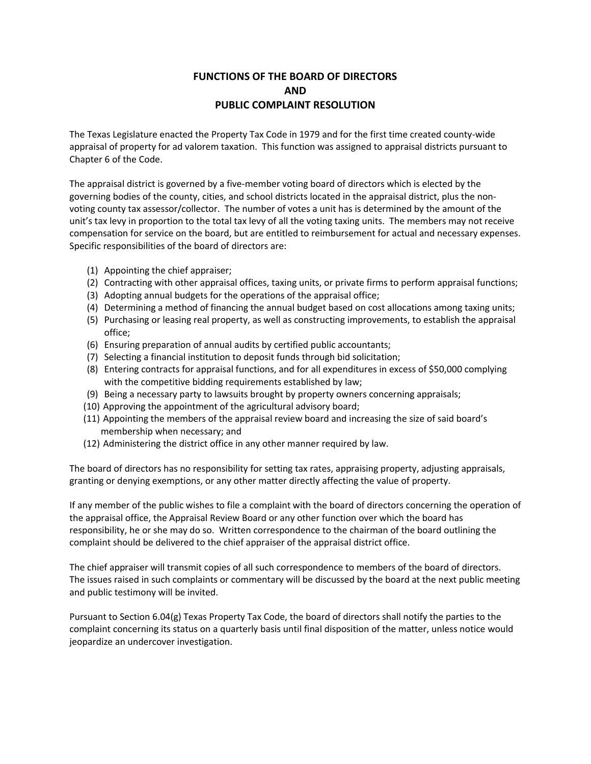## **FUNCTIONS OF THE BOARD OF DIRECTORS AND PUBLIC COMPLAINT RESOLUTION**

The Texas Legislature enacted the Property Tax Code in 1979 and for the first time created county-wide appraisal of property for ad valorem taxation. This function was assigned to appraisal districts pursuant to Chapter 6 of the Code.

The appraisal district is governed by a five-member voting board of directors which is elected by the governing bodies of the county, cities, and school districts located in the appraisal district, plus the nonvoting county tax assessor/collector. The number of votes a unit has is determined by the amount of the unit's tax levy in proportion to the total tax levy of all the voting taxing units. The members may not receive compensation for service on the board, but are entitled to reimbursement for actual and necessary expenses. Specific responsibilities of the board of directors are:

- (1) Appointing the chief appraiser;
- (2) Contracting with other appraisal offices, taxing units, or private firms to perform appraisal functions;
- (3) Adopting annual budgets for the operations of the appraisal office;
- (4) Determining a method of financing the annual budget based on cost allocations among taxing units;
- (5) Purchasing or leasing real property, as well as constructing improvements, to establish the appraisal office;
- (6) Ensuring preparation of annual audits by certified public accountants;
- (7) Selecting a financial institution to deposit funds through bid solicitation;
- (8) Entering contracts for appraisal functions, and for all expenditures in excess of \$50,000 complying with the competitive bidding requirements established by law;
- (9) Being a necessary party to lawsuits brought by property owners concerning appraisals;
- (10) Approving the appointment of the agricultural advisory board;
- (11) Appointing the members of the appraisal review board and increasing the size of said board's membership when necessary; and
- (12) Administering the district office in any other manner required by law.

The board of directors has no responsibility for setting tax rates, appraising property, adjusting appraisals, granting or denying exemptions, or any other matter directly affecting the value of property.

If any member of the public wishes to file a complaint with the board of directors concerning the operation of the appraisal office, the Appraisal Review Board or any other function over which the board has responsibility, he or she may do so. Written correspondence to the chairman of the board outlining the complaint should be delivered to the chief appraiser of the appraisal district office.

The chief appraiser will transmit copies of all such correspondence to members of the board of directors. The issues raised in such complaints or commentary will be discussed by the board at the next public meeting and public testimony will be invited.

Pursuant to Section 6.04(g) Texas Property Tax Code, the board of directors shall notify the parties to the complaint concerning its status on a quarterly basis until final disposition of the matter, unless notice would jeopardize an undercover investigation.